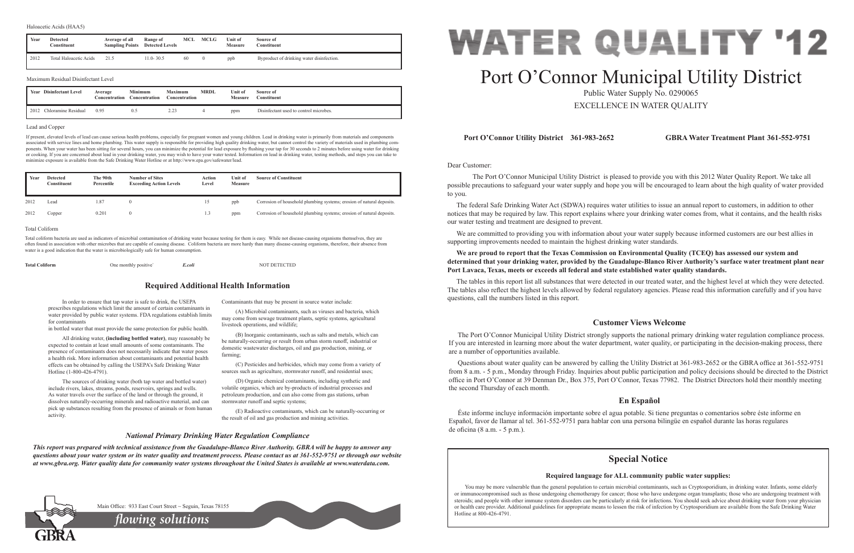Dear Customer:

 The Port O'Connor Municipal Utility District is pleased to provide you with this 2012 Water Quality Report. We take all possible precautions to safeguard your water supply and hope you will be encouraged to learn about the high quality of water provided to you.

The federal Safe Drinking Water Act (SDWA) requires water utilities to issue an annual report to customers, in addition to other notices that may be required by law. This report explains where your drinking water comes from, what it contains, and the health risks our water testing and treatment are designed to prevent.

We are committed to providing you with information about your water supply because informed customers are our best allies in supporting improvements needed to maintain the highest drinking water standards.

**We are proud to report that the Texas Commission on Environmental Quality (TCEQ) has assessed our system and determined that your drinking water, provided by the Guadalupe-Blanco River Authority's surface water treatment plant near** 

# **Port Lavaca, Texas, meets or exceeds all federal and state established water quality standards.**

The tables in this report list all substances that were detected in our treated water, and the highest level at which they were detected. The tables also reflect the highest levels allowed by federal regulatory agencies. Please read this information carefully and if you have questions, call the numbers listed in this report.

# **Port O'Connor Utility District 361-983-2652 GBRA Water Treatment Plant 361-552-9751**

# **Customer Views Welcome**

The Port O'Connor Municipal Utility District strongly supports the national primary drinking water regulation compliance process. If you are interested in learning more about the water department, water quality, or participating in the decision-making process, there are a number of opportunities available.

Questions about water quality can be answered by calling the Utility District at 361-983-2652 or the GBRA office at 361-552-9751 from 8 a.m. - 5 p.m., Monday through Friday. Inquiries about public participation and policy decisions should be directed to the District office in Port O'Connor at 39 Denman Dr., Box 375, Port O'Connor, Texas 77982. The District Directors hold their monthly meeting the second Thursday of each month.

# **En Español**

Éste informe incluye información importante sobre el agua potable. Si tiene preguntas o comentarios sobre éste informe en Español, favor de llamar al tel. 361-552-9751 para hablar con una persona bilingüe en español durante las horas regulares de oficina (8 a.m. - 5 p.m.).

In order to ensure that tap water is safe to drink, the USEPA prescribes regulations which limit the amount of certain contaminants in water provided by public water systems. FDA regulations establish limits for contaminants

in bottled water that must provide the same protection for public health.

All drinking water, **(including bottled water)**, may reasonably be expected to contain at least small amounts of some contaminants. The presence of contaminants does not necessarily indicate that water poses a health risk. More information about contaminants and potential health effects can be obtained by calling the USEPA's Safe Drinking Water Hotline (1-800-426-4791).

The sources of drinking water (both tap water and bottled water) include rivers, lakes, streams, ponds, reservoirs, springs and wells. As water travels over the surface of the land or through the ground, it dissolves naturally-occurring minerals and radioactive material, and can pick up substances resulting from the presence of animals or from human activity.

Contaminants that may be present in source water include:

(A) Microbial contaminants, such as viruses and bacteria, which may come from sewage treatment plants, septic systems, agricultural livestock operations, and wildlife;

(B) Inorganic contaminants, such as salts and metals, which can be naturally-occurring or result from urban storm runoff, industrial or domestic wastewater discharges, oil and gas production, mining, or farming;

> You may be more vulnerable than the general population to certain microbial contaminants, such as Cryptosporidium, in drinking water. Infants, some elderly or immunocompromised such as those undergoing chemotherapy for cancer; those who have undergone organ transplants; those who are undergoing treatment with steroids; and people with other immune system disorders can be particularly at risk for infections. You should seek advice about drinking water from your physician or health care provider. Additional guidelines for appropriate means to lessen the risk of infection by Cryptosporidium are available from the Safe Drinking Water Hotline at 800-426-4791.



(C) Pesticides and herbicides, which may come from a variety of sources such as agriculture, stormwater runoff, and residential uses;

(D) Organic chemical contaminants, including synthetic and volatile organics, which are by-products of industrial processes and petroleum production, and can also come from gas stations, urban stormwater runoff and septic systems;

(E) Radioactive contaminants, which can be naturally-occurring or the result of oil and gas production and mining activities.

# **Required Additional Health Information**

# *National Primary Drinking Water Regulation Compliance*

*This report was prepared with technical assistance from the Guadalupe-Blanco River Authority. GBRA will be happy to answer any questions about your water system or its water quality and treatment process. Please contact us at 361-552-9751 or through our website at www.gbra.org. Water quality data for community water systems throughout the United States is available at www.waterdata.com.*



# Port O'Connor Municipal Utility District

Public Water Supply No. 0290065 EXCELLENCE IN WATER QUALITY

## Lead and Copper

If present, elevated levels of lead can cause serious health problems, especially for pregnant women and young children. Lead in drinking water is primarily from materials and components associated with service lines and home plumbing. This water supply is responsible for providing high quality drinking water, but cannot control the variety of materials used in plumbing components. When your water has been sitting for several hours, you can minimize the potential for lead exposure by flushing your tap for 30 seconds to 2 minutes before using water for drinking or cooking. If you are concerned about lead in your drinking water, you may wish to have your water tested. Information on lead in drinking water, testing methods, and steps you can take to minimize exposure is available from the Safe Drinking Water Hotline or at http://www.epa.gov/safewater/lead.

| <b>Total Coliform</b> | One monthly positive | E.coli | <b>NOT DETECTED</b> |
|-----------------------|----------------------|--------|---------------------|
|-----------------------|----------------------|--------|---------------------|

2012 Chloramine Residual 0.95 0.5 2.23 4 ppm Disinfectant used to control microbes.

| Year | <b>Detected</b><br>Constituent      | Average of all<br><b>Sampling Points</b> | Range of<br><b>Detected Levels</b> | MCL                             | MCLG           | Unit of<br><b>Measure</b> | Source of<br>Constituent                  |
|------|-------------------------------------|------------------------------------------|------------------------------------|---------------------------------|----------------|---------------------------|-------------------------------------------|
| 2012 | Total Haloacetic Acids              | 21.5                                     | $11.0 - 30.5$                      | 60                              | $\overline{0}$ | ppb                       | Byproduct of drinking water disinfection. |
|      | Maximum Residual Disinfectant Level |                                          |                                    |                                 |                |                           |                                           |
| Year | Disinfectant Level                  | Average<br>Concentration                 | <b>Minimum</b><br>Concentration    | <b>Maximum</b><br>Concentration | <b>MRDL</b>    | Unit of<br><b>Measure</b> | Source of<br>Constituent                  |

| Year | <b>Detected</b><br>Constituent | The 90th<br>Percentile | <b>Number of Sites</b><br><b>Exceeding Action Levels</b> | Action<br>Level | Unit of<br><b>Measure</b> | <b>Source of Constituent</b>                                          |
|------|--------------------------------|------------------------|----------------------------------------------------------|-----------------|---------------------------|-----------------------------------------------------------------------|
| 2012 | Lead                           | .87                    |                                                          | 15              | ppb                       | Corrosion of household plumbing systems; erosion of natural deposits. |
| 2012 | Copper                         | 0.201                  |                                                          | 1.3             | ppm                       | Corrosion of household plumbing systems; erosion of natural deposits. |

### Total Coliform

Total coliform bacteria are used as indicators of microbial contamination of drinking water because testing for them is easy. While not disease-causing organisms themselves, they are often found in association with other microbes that are capable of causing disease. Coliform bacteria are more hardy than many disease-causing organisms, therefore, their absence from water is a good indication that the water is microbiologically safe for human consumption.

*flowing solutions*

Main Office: 933 East Court Street ~ Seguin, Texas 78155

# **Special Notice**

# **Required language for ALL community public water supplies:**